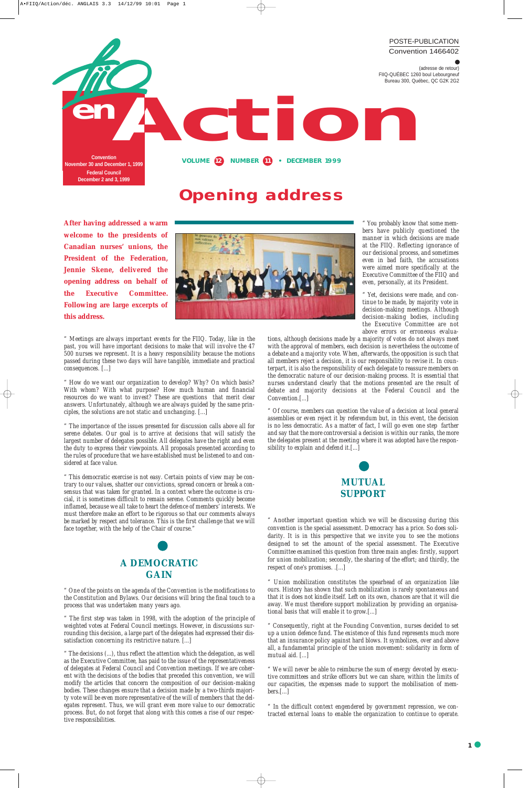**After having addressed a warm welcome to the presidents of Canadian nurses' unions, the President of the Federation, Jennie Skene, delivered the opening address on behalf of the Executive Committee. Following are large excerpts of this address.** 



*" Meetings are always important events for the FIIQ. Today, like in the past, you will have important decisions to make that will involve the 47 500 nurses we represent. It is a heavy responsibility because the motions passed during these two days will have tangible, immediate and practical consequences. [...]* 

*" How do we want our organization to develop? Why? On which basis? With whom? With what purpose? How much human and financial resources do we want to invest? These are questions that merit clear answers. Unfortunately, although we are always guided by the same principles, the solutions are not static and unchanging. [...]*

*" The importance of the issues presented for discussion calls above all for serene debates. Our goal is to arrive at decisions that will satisfy the largest number of delegates possible. All delegates have the right and even the duty to express their viewpoints. All proposals presented according to the rules of procedure that we have established must be listened to and considered at face value.*

*" This democratic exercise is not easy. Certain points of view may be contrary to our values, shatter our convictions, spread concern or break a consensus that was taken for granted. In a context where the outcome is crucial, it is sometimes difficult to remain serene. Comments quickly become inflamed, because we all take to heart the defence of members' interests. We must therefore make an effort to be rigorous so that our comments always* be marked by respect and tolerance. This is the first challenge that we will *face together, with the help of the Chair of course."* 

Yet, decisions were made, and con*tinue to be made, by majority vote in decision-making meetings. Although decision-making bodies, including the Executive Committee are not above errors or erroneous evalua-*



#### **GAIN**

*" One of the points on the agenda of the Convention is the modifications to the Constitution and Bylaws. Our decisions will bring the final touch to a process that was undertaken many years ago.*

*" The first step was taken in 1998, with the adoption of the principle of weighted votes at Federal Council meetings. However, in discussions surrounding this decision, a large part of the delegates had expressed their dissatisfaction concerning its restrictive nature. [...]*

*" The decisions (...), thus reflect the attention which the delegation, as well as the Executive Committee, has paid to the issue of the representativeness of delegates at Federal Council and Convention meetings. If we are coher*ent with the decisions of the bodies that preceded this convention, we will *modify the articles that concern the composition of our decision-making bodies. These changes ensure that a decision made by a two-thirds majority vote will be even more representative of the will of members that the delegates represent. Thus, we will grant even more value to our democratic process. But, do not forget that along with this comes a rise of our respective responsibilities.*

*" You probably know that some members have publicly questioned the manner in which decisions are made at the FIIQ. Reflecting ignorance of our decisional process, and sometimes even in bad faith, the accusations were aimed more specifically at the Executive Committee of the FIIQ and even, personally, at its President.* 

*tions, although decisions made by a majority of votes do not always meet with the approval of members, each decision is nevertheless the outcome of a debate and a majority vote. When, afterwards, the opposition is such that all members reject a decision, it is our responsibility to revise it. In counterpart, it is also the responsibility of each delegate to reassure members on the democratic nature of our decision-making process. It is essential that nurses understand clearly that the motions presented are the result of debate and majority decisions at the Federal Council and the Convention.[...]*

*" Of course, members can question the value of a decision at local general assemblies or even reject it by referendum but, in this event, the decision is no less democratic. As a matter of fact, I will go even one step farther and say that the more controversial a decision is within our ranks, the more the delegates present at the meeting where it was adopted have the responsibility to explain and defend it.[...]* 



*" Another important question which we will be discussing during this convention is the special assessment. Democracy has a price. So does solidarity. It is in this perspective that we invite you to see the motions designed to set the amount of the special assessment. The Executive Committee examined this question from three main angles: firstly, support for union mobilization; secondly, the sharing of the effort; and thirdly, the respect of one's promises. .[...]*

*" Union mobilization constitutes the spearhead of an organization like ours. History has shown that such mobilization is rarely spontaneous and that it is does not kindle itself. Left on its own, chances are that it will die away. We must therefore support mobilization by providing an organisational basis that will enable it to grow.[...]*

*" Consequently, right at the Founding Convention, nurses decided to set up a union defence fund. The existence of this fund represents much more that an insurance policy against hard blows. It symbolizes, over and above all, a fundamental principle of the union movement: solidarity in form of mutual aid. [...]*

*" We will never be able to reimburse the sum of energy devoted by executive committees and strike officers but we can share, within the limits of our capacities, the expenses made to support the mobilisation of members.[...]*

*" In the difficult context engendered by government repression, we contracted external loans to enable the organization to continue to operate.*

### **Opening address**

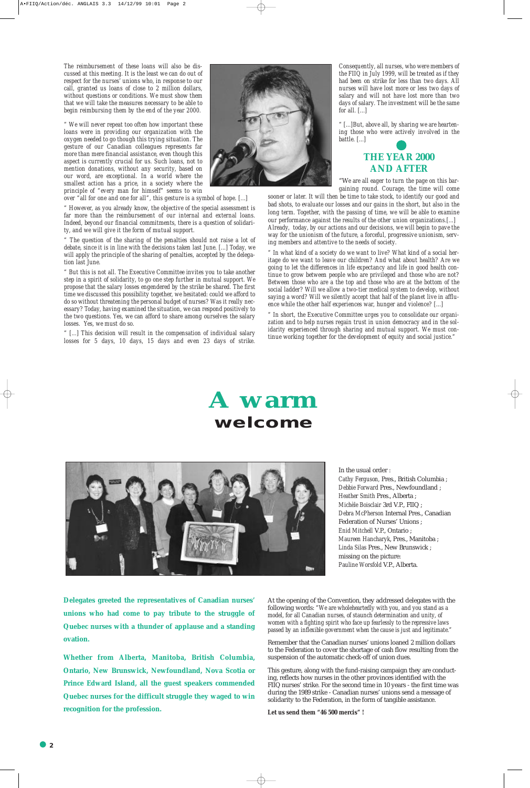*The reimbursement of these loans will also be discussed at this meeting. It is the least we can do out of respect for the nurses' unions who, in response to our call, granted us loans of close to 2 million dollars, without questions or conditions. We must show them that we will take the measures necessary to be able to begin reimbursing them by the end of the year 2000.*

*" We will never repeat too often how important these loans were in providing our organization with the oxygen needed to go though this trying situation. The gesture of our Canadian colleagues represents far more than mere financial assistance, even though this aspect is currently crucial for us. Such loans, not to mention donations, without any security, based on our word, are exceptional. In a world where the smallest action has a price, in a society where the principle of "every man for himself" seems to win*

*over "all for one and one for all", this gesture is a symbol of hope. [...]*

*" However, as you already know, the objective of the special assessment is far more than the reimbursement of our internal and external loans. Indeed, beyond our financial commitments, there is a question of solidarity, and we will give it the form of mutual support.* 

*" The question of the sharing of the penalties should not raise a lot of debate, since it is in line with the decisions taken last June. [...] Today, we will apply the principle of the sharing of penalties, accepted by the delegation last June.*

*" But this is not all. The Executive Committee invites you to take another step in a spirit of solidarity, to go one step further in mutual support. We propose that the salary losses engendered by the strike be shared. The first time we discussed this possibility together, we hesitated: could we afford to do so without threatening the personal budget of nurses? Was it really necessary? Today, having examined the situation, we can respond positively to the two questions. Yes, we can afford to share among ourselves the salary losses. Yes, we must do so.*

*" [...] This decision will result in the compensation of individual salary losses for 5 days, 10 days, 15 days and even 23 days of strike.* *Consequently, all nurses, who were members of the FIIQ in July 1999, will be treated as if they had been on strike for less than two days. All nurses will have lost more or less two days of salary and will not have lost more than two days of salary. The investment will be the same for all. [...]*

*" [...]But, above all, by sharing we are heartening those who were actively involved in the battle. [...]*

#### **THE YEAR 2000 AND AFTER**

"W*e are all eager to turn the page on this bargaining round. Courage, the time will come*

*sooner or later. It will then be time to take stock, to identify our good and bad shots, to evaluate our losses and our gains in the short, but also in the long term. Together, with the passing of time, we will be able to examine our performance against the results of the other union organizations.[...] Already, today, by our actions and our decisions, we will begin to pave the way for the unionism of the future, a forceful, progressive unionism, serving members and attentive to the needs of society.* 

*" In what kind of a society do we want to live? What kind of a social heritage do we want to leave our children? And what about health? Are we going to let the differences in life expectancy and life in good health continue to grow between people who are privileged and those who are not? Between those who are a the top and those who are at the bottom of the social ladder? Will we allow a two-tier medical system to develop, without saying a word? Will we silently accept that half of the planet live in affluence while the other half experiences war, hunger and violence? [...]*

*" In short, the Executive Committee urges you to consolidate our organization and to help nurses regain trust in union democracy and in the solidarity experienced through sharing and mutual support. We must continue working together for the development of equity and social justice."* 

**Delegates greeted the representatives of Canadian nurses' unions who had come to pay tribute to the struggle of Quebec nurses with a thunder of applause and a standing ovation.** 

**Whether from Alberta, Manitoba, British Columbia, Ontario, New Brunswick, Newfoundland, Nova Scotia or Prince Edward Island, all the guest speakers commended Quebec nurses for the difficult struggle they waged to win recognition for the profession.**

At the opening of the Convention, they addressed delegates with the following words: *"We are wholeheartedly with you, and you stand as a model, for all Canadian nurses, of staunch determination and unity, of women with a fighting spirit who face up fearlessly to the repressive laws passed by an inflexible government when the cause is just and legitimate."* 

Remember that the Canadian nurses' unions loaned 2 million dollars to the Federation to cover the shortage of cash flow resulting from the suspension of the automatic check-off of union dues.

This gesture, along with the fund-raising campaign they are conducting, reflects how nurses in the other provinces identified with the FIIQ nurses' strike. For the second time in 10 years - the first time was during the 1989 strike - Canadian nurses' unions send a message of solidarity to the Federation, in the form of tangible assistance.

**Let us send them "46 500 mercis" !**





In the usual order : *Cathy Ferguson,* Pres., British Columbia ; *Debbie Forward* Pres., Newfoundland ; *Heather Smith* Pres., Alberta ; *Michèle Boisclair* 3rd V.P., FIIQ ; *Debra McPherson* Internal Pres., Canadian Federation of Nurses' Unions ; *Enid Mitchell* V.P., Ontario ; *Maureen Hancharyk*, Pres., Manitoba ; *Linda Silas* Pres., New Brunswick ; missing on the picture: *Pauline Worsfold* V.P., Alberta.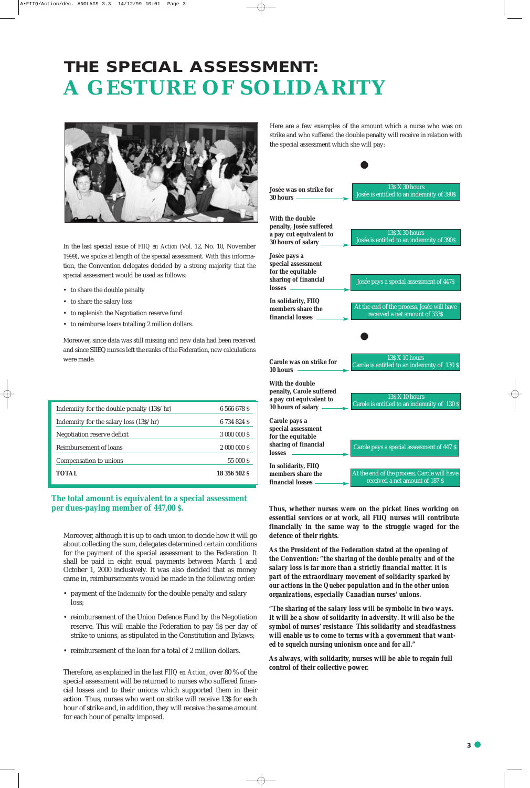

## **THE SPECIAL ASSESSMENT: A GESTURE OF SOLIDARITY**



Moreover, although it is up to each union to decide how it will go about collecting the sum, delegates determined certain conditions for the payment of the special assessment to the Federation. It shall be paid in eight equal payments between March 1 and October 1, 2000 inclusively. It was also decided that as money came in, reimbursements would be made in the following order:

- payment of the Indemnity for the double penalty and salary loss;
- reimbursement of the Union Defence Fund by the Negotiation reserve. This will enable the Federation to pay 5\$ per day of strike to unions, as stipulated in the Constitution and Bylaws;
- reimbursement of the loan for a total of 2 million dollars.

Therefore, as explained in the last *FIIQ en Action*, over 80 % of the special assessment will be returned to nurses who suffered financial losses and to their unions which supported them in their action. Thus, nurses who went on strike will receive 13\$ for each hour of strike and, in addition, they will receive the same amount for each hour of penalty imposed.



| Indemnity for the double penalty (13\$/hr) | 6 566 678 S   |
|--------------------------------------------|---------------|
| Indemnity for the salary loss (13\$/hr)    | 6 734 824 \$  |
| Negotiation reserve deficit                | 3 000 000 \$  |
| Reimbursement of loans                     | 2 000 000 \$  |
| Compensation to unions                     | 55 000 S      |
| TOTAL                                      | 18 356 502 \$ |

#### **The total amount is equivalent to a special assessment per dues-paying member of 447,00 \$.**

In the last special issue of *FIIQ en Action* (Vol. 12, No. 10, November 1999), we spoke at length of the special assessment. With this information, the Convention delegates decided by a strong majority that the special assessment would be used as follows:

- to share the double penalty
- to share the salary loss
- to replenish the Negotiation reserve fund
- to reimburse loans totalling 2 million dollars.

Moreover, since data was still missing and new data had been received and since SIIEQ nurses left the ranks of the Federation, new calculations were made.

Here are a few examples of the amount which a nurse who was on strike and who suffered the double penalty will receive in relation with the special assessment which she will pay:

**Thus, whether nurses were on the picket lines working on essential services or at work, all FIIQ nurses will contribute financially in the same way to the struggle waged for the defence of their rights.** 

**As the President of the Federation stated at the opening of the Convention:** *"the sharing of the double penalty and of the salary loss is far more than a strictly financial matter. It is part of the extraordinary movement of solidarity sparked by our actions in the Quebec population and in the other union organizations, especially Canadian nurses' unions.*

*"The sharing of the salary loss will be symbolic in two ways. It will be a show of solidarity in adversity. It will also be the symbol of nurses' resistance This solidarity and steadfastness will enable us to come to terms with a government that wanted to squelch nursing unionism once and for all."*

**As always, with solidarity, nurses will be able to regain full control of their collective power.**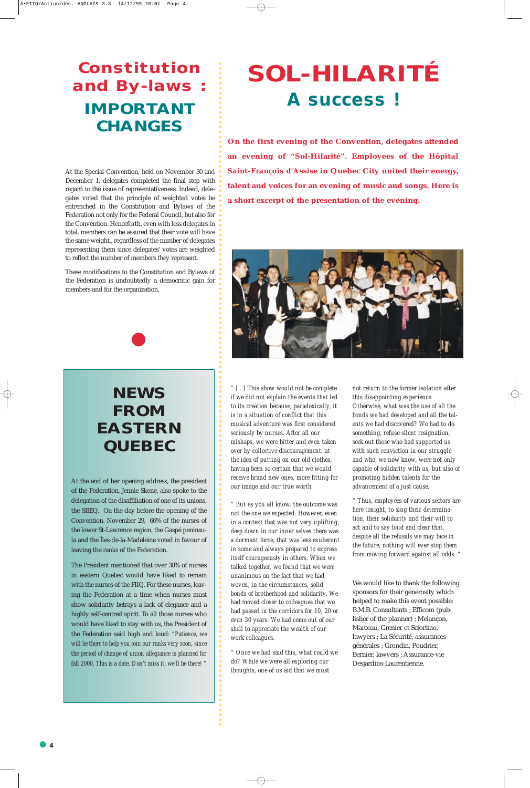**4**

At the Special Convention, held on November 30 and December 1, delegates completed the final step with regard to the issue of representativeness. Indeed, delegates voted that the principle of weighted votes be entrenched in the Constitution and Bylaws of the Federation not only for the Federal Council, but also for the Convention. Henceforth, even with less delegates in total, members can be assured that their vote will have the same weight., regardless of the number of delegates representing them since delegates' votes are weighted to reflect the number of members they represent.

These modifications to the Constitution and Bylaws of the Federation is undoubtedly a democratic gain for members and for the organization.

## **Constitution and By-laws : IMPORTANT CHANGES**

### **NEWS FROM EASTERN QUEBEC**

At the end of her opening address, the president of the Federation, Jennie Skene, also spoke to the delegation of the disaffiliation of one of its unions, the SIIEQ. On the day before the opening of the Convention. November 29, 66% of the nurses of the lower St-Lawrence region, the Gaspé peninsula and the Îles-de-la-Madeleine voted in favour of leaving the ranks of the Federation.

The President mentioned that over 30% of nurses

in eastern Quebec would have liked to remain with the nurses of the FIIQ. For these nurses, leaving the Federation at a time when nurses must show solidarity betrays a lack of elegance and a highly self-centred spirit. To all those nurses who would have liked to stay with us, the President of the Federation said high and loud: *"Patience, we will be there to help you join our ranks very soon, since the period of change of union allegiance is planned for fall 2000. This is a date. Don't miss it; we'll be there! "*

# **SOL-HILARITÉ A success !**

**On the first evening of the Convention, delegates attended an evening of "Sol-Hilarité". Employees of the** *Hôpital Saint-François d'Assise* **in Quebec City united their energy, talent and voices for an evening of music and songs. Here is a short excerpt of the presentation of the evening.**





*" [...] This show would not be complete if we did not explain the events that led to its creation because, paradoxically, it is in a situation of conflict that this musical adventure was first considered seriously by nurses. After all our mishaps, we were bitter and even taken over by collective discouragement, at the idea of putting on our old clothes, having been so certain that we would receive brand new ones, more fitting for our image and our true worth.*

*" But as you all know, the outcome was not the one we expected. However, even in a context that was not very uplifting, deep down in our inner selves there was a dormant force, that was less exuberant in some and always prepared to express itself courageously in others. When we talked together, we found that we were unanimous on the fact that we had woven, in the circumstances, solid bonds of brotherhood and solidarity. We had moved closer to colleagues that we had passed in the corridors for 10, 20 or even 30 years. We had come out of our shell to appreciate the wealth of our work colleagues.* 

*" Once we had said this, what could we do? While we were all exploring our thoughts, one of us aid that we must*

*not return to the former isolation after this disappointing experience. Otherwise, what was the use of all the bonds we had developed and all the talents we had discovered? We had to do something, refuse silent resignation, seek out those who had supported us with such conviction in our struggle and who, we now know, were not only capable of solidarity with us, but also of promoting hidden talents for the advancement of a just cause.* 

*" Thus, employees of various sectors are here tonight, to sing their determination, their solidarity and their will to act and to say loud and clear that, despite all the refusals we may face in the future, nothing will ever stop them from moving forward against all odds. "*

We would like to thank the following sponsors for their generosity which helped to make this event possible: B.M.B. Consultants ; Efficom (publisher of the planner) ; Melançon, Marceau, Grenier et Sciortino, lawyers ; La Sécurité, assurances générales ; Grondin, Poudrier, Bernier, lawyers ; Assurance-vie Desjardins-Laurentienne.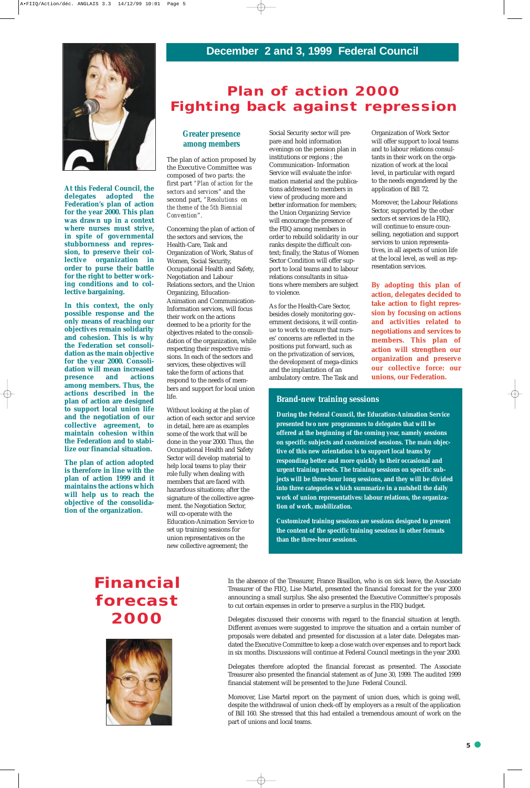#### **Plan of action 2000 Fighting back against repression**

**At this Federal Council, the delegates adopted the Federation's plan of action for the year 2000. This plan was drawn up in a context where nurses must strive, in spite of governmental stubbornness and repression, to preserve their collective organization in order to purse their battle for the right to better working conditions and to collective bargaining.** 

**In this context, the only possible response and the only means of reaching our objectives remain solidarity and cohesion. This is why the Federation set consolidation as the main objective for the year 2000. Consolidation will mean increased presence and actions among members. Thus, the actions described in the plan of action are designed to support local union life and the negotiation of our collective agreement, to maintain cohesion within the Federation and to stabilize our financial situation.** 

**The plan of action adopted is therefore in line with the plan of action 1999 and it maintains the actions which will help us to reach the objective of the consolidation of the organization.** 

#### **Greater presence among members**

The plan of action proposed by the Executive Committee was composed of two parts: the first part *"Plan of action for the sectors and services*" and the second part, *"Resolutions on the theme of the 5th Biennial Convention*".

Concerning the plan of action of the sectors and services, the Health-Care, Task and Organization of Work, Status of Women, Social Security, Occupational Health and Safety, Negotiation and Labour Relations sectors, and the Union Organizing, Education-Animation and Communication-Information services, will focus their work on the actions deemed to be a priority for the objectives related to the consolidation of the organization, while respecting their respective missions. In each of the sectors and services, these objectives will take the form of actions that respond to the needs of members and support for local union life.

Without looking at the plan of action of each sector and service in detail, here are as examples some of the work that will be done in the year 2000. Thus, the Occupational Health and Safety Sector will develop material to help local teams to play their role fully when dealing with members that are faced with hazardous situations; after the signature of the collective agreement. the Negotiation Sector, will co-operate with the Education-Animation Service to set up training sessions for union representatives on the new collective agreement; the

Social Security sector will prepare and hold information evenings on the pension plan in institutions or regions ; the Communication- Information Service will evaluate the information material and the publications addressed to members in view of producing more and better information for members; the Union Organizing Service will encourage the presence of the FIIQ among members in order to rebuild solidarity in our ranks despite the difficult context; finally, the Status of Women Sector Condition will offer support to local teams and to labour relations consultants in situations where members are subject to violence.

As for the Health-Care Sector, besides closely monitoring government decisions, it will continue to work to ensure that nurses' concerns are reflected in the positions put forward, such as on the privatization of services, the development of mega-clinics and the implantation of an ambulatory centre. The Task and

Organization of Work Sector will offer support to local teams and to labour relations consultants in their work on the organization of work at the local level, in particular with regard to the needs engendered by the application of Bill 72.

Moreover, the Labour Relations Sector, supported by the other sectors et services de la FIIQ, will continue to ensure counselling, negotiation and support services to union representatives, in all aspects of union life at the local level, as well as representation services.

**By adopting this plan of action, delegates decided to take action to fight repression by focusing on actions and activities related to negotiations and services to members. This plan of action will strengthen our organization and preserve our collective force: our unions, our Federation.** 

### **Financial forecast 2000**



In the absence of the Treasurer, France Bisaillon, who is on sick leave, the Associate Treasurer of the FIIQ, Lise Martel, presented the financial forecast for the year 2000 announcing a small surplus. She also presented the Executive Committee's proposals to cut certain expenses in order to preserve a surplus in the FIIQ budget.

Delegates discussed their concerns with regard to the financial situation at length. Different avenues were suggested to improve the situation and a certain number of proposals were debated and presented for discussion at a later date. Delegates mandated the Executive Committee to keep a close watch over expenses and to report back in six months. Discussions will continue at Federal Council meetings in the year 2000.

Delegates therefore adopted the financial forecast as presented. The Associate Treasurer also presented the financial statement as of June 30, 1999. The audited 1999 financial statement will be presented to the June Federal Council.

Moreover, Lise Martel report on the payment of union dues, which is going well, despite the withdrawal of union check-off by employers as a result of the application of Bill 160. She stressed that this had entailed a tremendous amount of work on the part of unions and local teams.

#### **Brand-new training sessions**

**During the Federal Council, the Education-Animation Service presented two new programmes to delegates that will be offered at the beginning of the coming year, namely sessions on specific subjects and customized sessions. The main objective of this new orientation is to support local teams by responding better and more quickly to their occasional and urgent training needs. The training sessions on specific subjects will be three-hour long sessions, and they will be divided into three categories which summarize in a nutshell the daily work of union representatives: labour relations, the organization of work, mobilization.**

**Customized training sessions are sessions designed to present the content of the specific training sessions in other formats than the three-hour sessions.**

# **December 2 and 3, 1999 Federal Council**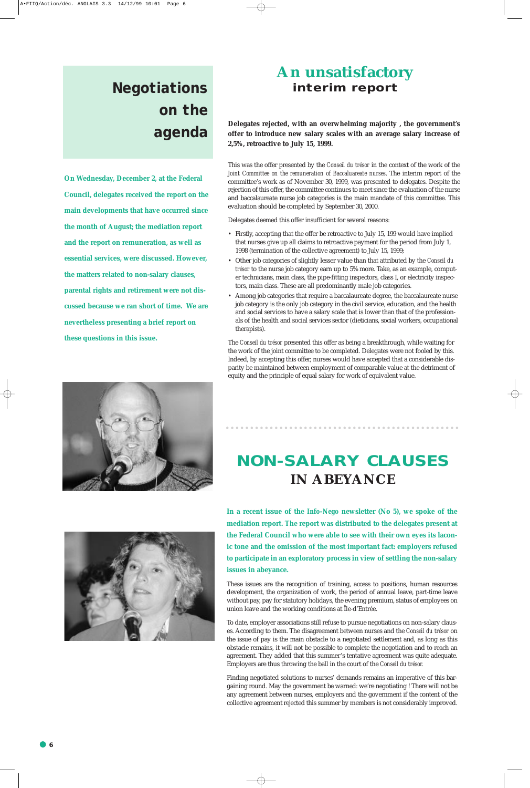## **Negotiations on the agenda**

**On Wednesday, December 2, at the Federal Council, delegates received the report on the main developments that have occurred since the month of August; the mediation report and the report on remuneration, as well as essential services, were discussed. However, the matters related to non-salary clauses, parental rights and retirement were not discussed because we ran short of time. We are nevertheless presenting a brief report on these questions in this issue.**

> **In a recent issue of the** *Info-Nego* **newsletter (No 5), we spoke of the mediation report. The report was distributed to the delegates present at the Federal Council who were able to see with their own eyes its laconic tone and the omission of the most important fact: employers refused to participate in an exploratory process in view of settling the non-salary**

#### **issues in abeyance.**

These issues are the recognition of training, access to positions, human resources development, the organization of work, the period of annual leave, part-time leave without pay, pay for statutory holidays, the evening premium, status of employees on union leave and the working conditions at Île-d'Entrée.

To date, employer associations still refuse to pursue negotiations on non-salary clauses. According to them. The disagreement between nurses and the *Conseil du trésor* on the issue of pay is the main obstacle to a negotiated settlement and, as long as this obstacle remains, it will not be possible to complete the negotiation and to reach an agreement. They added that this summer's tentative agreement was quite adequate. Employers are thus throwing the ball in the court of the *Conseil du trésor.*

Finding negotiated solutions to nurses' demands remains an imperative of this bargaining round. May the government be warned: we're negotiating ! There will not be any agreement between nurses, employers and the government if the content of the collective agreement rejected this summer by members is not considerably improved.

### **NON-SALARY CLAUSES IN ABEYANCE**

### **An unsatisfactory interim report**

**Delegates rejected, with an overwhelming majority , the government's offer to introduce new salary scales with an average salary increase of 2,5%, retroactive to July 15, 1999.** 

This was the offer presented by the *Conseil du trésor* in the context of the work of the *Joint Committee on the remuneration of Baccaluareate nurses*. The interim report of the committee's work as of November 30, 1999, was presented to delegates. Despite the rejection of this offer, the committee continues to meet since the evaluation of the nurse and baccalaureate nurse job categories is the main mandate of this committee. This evaluation should be completed by September 30, 2000.

Delegates deemed this offer insufficient for several reasons:

- Firstly, accepting that the offer be retroactive to July 15, 199 would have implied that nurses give up all claims to retroactive payment for the period from July 1, 1998 (termination of the collective agreement) to July 15, 1999;
- Other job categories of slightly lesser value than that attributed by the *Conseil du trésor* to the nurse job category earn up to 5% more. Take, as an example, computer technicians, main class, the pipe-fitting inspectors, class I, or electricity inspectors, main class. These are all predominantly male job categories.
- Among job categories that require a baccalaureate degree, the baccalaureate nurse job category is the only job category in the civil service, education, and the health and social services to have a salary scale that is lower than that of the professionals of the health and social services sector (dieticians, social workers, occupational therapists).

The *Conseil du trésor* presented this offer as being a breakthrough, while waiting for the work of the joint committee to be completed. Delegates were not fooled by this. Indeed, by accepting this offer, nurses would have accepted that a considerable disparity be maintained between employment of comparable value at the detriment of equity and the principle of equal salary for work of equivalent value.



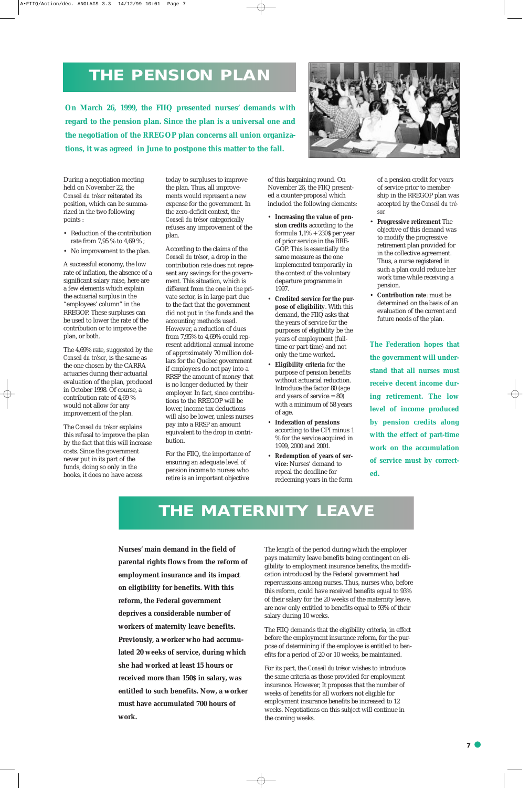During a negotiation meeting held on November 22, the *Conseil du trésor* reiterated its position, which can be summarized in the two following points :

- Reduction of the contribution rate from 7,95 % to 4,69 % ;
- No improvement to the plan.

A successful economy, the low rate of inflation, the absence of a significant salary raise, here are a few elements which explain the actuarial surplus in the "employees' column" in the RREGOP. These surpluses can be used to lower the rate of the contribution or to improve the plan, or both.

The 4,69% rate, suggested by the *Conseil du trésor*, is the same as the one chosen by the CARRA actuaries during their actuarial evaluation of the plan, produced in October 1998. Of course, a contribution rate of 4,69 % would not allow for any improvement of the plan.

The *Conseil du trésor* explains this refusal to improve the plan by the fact that this will increase costs. Since the government never put in its part of the funds, doing so only in the books, it does no have access

today to surpluses to improve the plan. Thus, all improvements would represent a new expense for the government. In the zero-deficit context, the *Conseil du trésor* categorically refuses any improvement of the plan.

According to the claims of the *Conseil du trésor*, a drop in the contribution rate does not represent any savings for the government. This situation, which is different from the one in the private sector, is in large part due to the fact that the government did not put in the funds and the accounting methods used. However, a reduction of dues from 7,95% to 4,69% could represent additional annual income of approximately 70 million dollars for the Quebec government if employees do not pay into a RRSP the amount of money that is no longer deducted by their employer. In fact, since contributions to the RREGOP will be lower, income tax deductions will also be lower, unless nurses pay into a RRSP an amount equivalent to the drop in contribution.

For the FIIQ, the importance of ensuring an adequate level of pension income to nurses who retire is an important objective

of this bargaining round. On November 26, the FIIQ presented a counter-proposal which included the following elements:

- **Increasing the value of pension credits** according to the formula 1,1% + 230\$ per year of prior service in the RRE-GOP. This is essentially the same measure as the one implemented temporarily in the context of the voluntary departure programme in 1997.
- **Credited service for the purpose of eligibility**. With this demand, the FIIQ asks that the years of service for the purposes of eligibility be the years of employment (fulltime or part-time) and not only the time worked.
- **Eligibility criteria** for the purpose of pension benefits without actuarial reduction. Introduce the factor 80 (age and years of service = 80) with a minimum of 58 years of age.
- **Indexation of pensions** according to the CPI minus 1 % for the service acquired in 1999, 2000 and 2001.
- **Redemption of years of service:** Nurses' demand to repeal the deadline for redeeming years in the form

of a pension credit for years of service prior to membership in the RREGOP plan was accepted by the *Conseil du trésor.*

- **Progressive retirement** The objective of this demand was to modify the progressive retirement plan provided for in the collective agreement. Thus, a nurse registered in such a plan could reduce her work time while receiving a pension.
- **Contribution rate**: must be determined on the basis of an evaluation of the current and future needs of the plan.

**The Federation hopes that the government will understand that all nurses must receive decent income during retirement. The low level of income produced by pension credits along with the effect of part-time work on the accumulation of service must by corrected.**

### **THE PENSION PLAN**

The length of the period during which the employer pays maternity leave benefits being contingent on eligibility to employment insurance benefits, the modification introduced by the Federal government had repercussions among nurses. Thus, nurses who, before this reform, could have received benefits equal to 93% of their salary for the 20 weeks of the maternity leave, are now only entitled to benefits equal to 93% of their salary during 10 weeks.

The FIIQ demands that the eligibility criteria, in effect before the employment insurance reform, for the purpose of determining if the employee is entitled to benefits for a period of 20 or 10 weeks, be maintained.

For its part, the *Conseil du trésor* wishes to introduce the same criteria as those provided for employment insurance. However, It proposes that the number of weeks of benefits for all workers not eligible for employment insurance benefits be increased to 12 weeks. Negotiations on this subject will continue in the coming weeks.

**On March 26, 1999, the FIIQ presented nurses' demands with regard to the pension plan. Since the plan is a universal one and the negotiation of the RREGOP plan concerns all union organizations, it was agreed in June to postpone this matter to the fall.** 



### **THE MATERNITY LEAVE**

**Nurses' main demand in the field of parental rights flows from the reform of**

**employment insurance and its impact on eligibility for benefits. With this reform, the Federal government deprives a considerable number of workers of maternity leave benefits. Previously, a worker who had accumulated 20 weeks of service, during which she had worked at least 15 hours or received more than 150\$ in salary, was entitled to such benefits. Now, a worker must have accumulated 700 hours of work.**